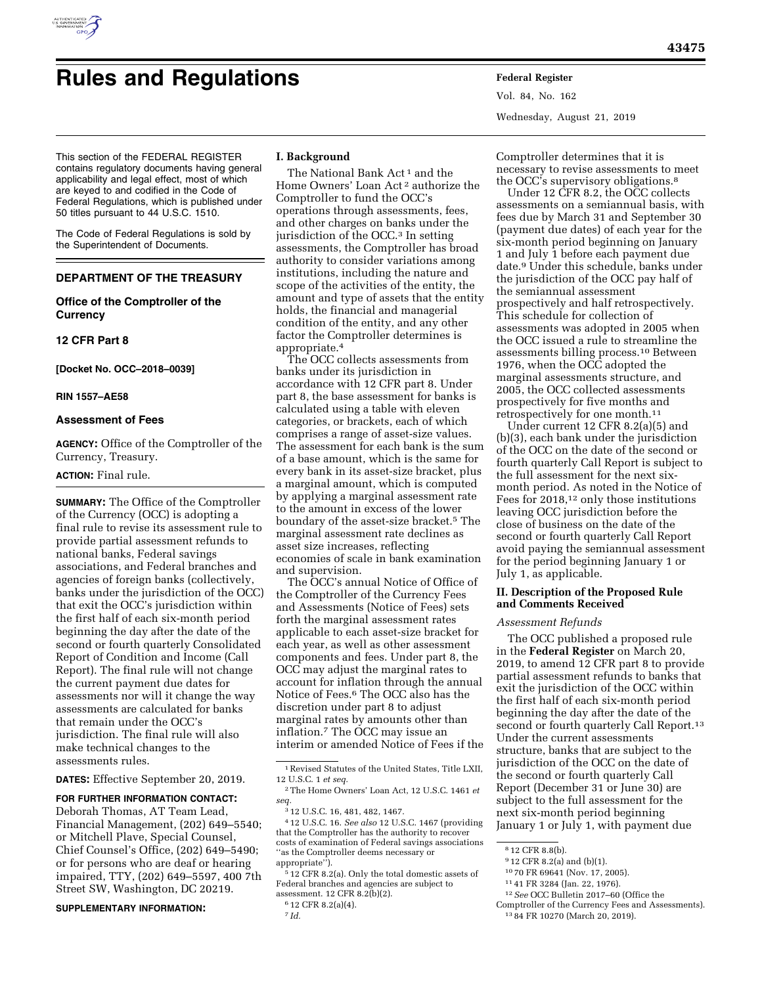

# **Rules and Regulations Federal Register**

Vol. 84, No. 162 Wednesday, August 21, 2019

This section of the FEDERAL REGISTER contains regulatory documents having general applicability and legal effect, most of which are keyed to and codified in the Code of Federal Regulations, which is published under 50 titles pursuant to 44 U.S.C. 1510.

The Code of Federal Regulations is sold by the Superintendent of Documents.

# **DEPARTMENT OF THE TREASURY**

**Office of the Comptroller of the Currency** 

# **12 CFR Part 8**

**[Docket No. OCC–2018–0039]** 

## **RIN 1557–AE58**

## **Assessment of Fees**

**AGENCY:** Office of the Comptroller of the Currency, Treasury.

## **ACTION:** Final rule.

**SUMMARY:** The Office of the Comptroller of the Currency (OCC) is adopting a final rule to revise its assessment rule to provide partial assessment refunds to national banks, Federal savings associations, and Federal branches and agencies of foreign banks (collectively, banks under the jurisdiction of the OCC) that exit the OCC's jurisdiction within the first half of each six-month period beginning the day after the date of the second or fourth quarterly Consolidated Report of Condition and Income (Call Report). The final rule will not change the current payment due dates for assessments nor will it change the way assessments are calculated for banks that remain under the OCC's jurisdiction. The final rule will also make technical changes to the assessments rules.

**DATES:** Effective September 20, 2019.

# **FOR FURTHER INFORMATION CONTACT:**

Deborah Thomas, AT Team Lead, Financial Management, (202) 649–5540; or Mitchell Plave, Special Counsel, Chief Counsel's Office, (202) 649–5490; or for persons who are deaf or hearing impaired, TTY, (202) 649–5597, 400 7th Street SW, Washington, DC 20219.

#### **SUPPLEMENTARY INFORMATION:**

#### **I. Background**

The National Bank Act<sup>1</sup> and the Home Owners' Loan Act 2 authorize the Comptroller to fund the OCC's operations through assessments, fees, and other charges on banks under the jurisdiction of the OCC.3 In setting assessments, the Comptroller has broad authority to consider variations among institutions, including the nature and scope of the activities of the entity, the amount and type of assets that the entity holds, the financial and managerial condition of the entity, and any other factor the Comptroller determines is appropriate.4

The OCC collects assessments from banks under its jurisdiction in accordance with 12 CFR part 8. Under part 8, the base assessment for banks is calculated using a table with eleven categories, or brackets, each of which comprises a range of asset-size values. The assessment for each bank is the sum of a base amount, which is the same for every bank in its asset-size bracket, plus a marginal amount, which is computed by applying a marginal assessment rate to the amount in excess of the lower boundary of the asset-size bracket.5 The marginal assessment rate declines as asset size increases, reflecting economies of scale in bank examination and supervision.

The OCC's annual Notice of Office of the Comptroller of the Currency Fees and Assessments (Notice of Fees) sets forth the marginal assessment rates applicable to each asset-size bracket for each year, as well as other assessment components and fees. Under part 8, the OCC may adjust the marginal rates to account for inflation through the annual Notice of Fees.6 The OCC also has the discretion under part 8 to adjust marginal rates by amounts other than inflation.7 The OCC may issue an interim or amended Notice of Fees if the

4 12 U.S.C. 16. *See also* 12 U.S.C. 1467 (providing that the Comptroller has the authority to recover costs of examination of Federal savings associations ''as the Comptroller deems necessary or appropriate'').

5 12 CFR 8.2(a). Only the total domestic assets of Federal branches and agencies are subject to assessment. 12 CFR 8.2(b)(2).

Comptroller determines that it is necessary to revise assessments to meet the OCC's supervisory obligations.8

Under 12 CFR 8.2, the OCC collects assessments on a semiannual basis, with fees due by March 31 and September 30 (payment due dates) of each year for the six-month period beginning on January 1 and July 1 before each payment due date.9 Under this schedule, banks under the jurisdiction of the OCC pay half of the semiannual assessment prospectively and half retrospectively. This schedule for collection of assessments was adopted in 2005 when the OCC issued a rule to streamline the assessments billing process.10 Between 1976, when the OCC adopted the marginal assessments structure, and 2005, the OCC collected assessments prospectively for five months and retrospectively for one month.<sup>11</sup>

Under current 12 CFR 8.2(a)(5) and (b)(3), each bank under the jurisdiction of the OCC on the date of the second or fourth quarterly Call Report is subject to the full assessment for the next sixmonth period. As noted in the Notice of Fees for 2018,12 only those institutions leaving OCC jurisdiction before the close of business on the date of the second or fourth quarterly Call Report avoid paying the semiannual assessment for the period beginning January 1 or July 1, as applicable.

## **II. Description of the Proposed Rule and Comments Received**

#### *Assessment Refunds*

The OCC published a proposed rule in the **Federal Register** on March 20, 2019, to amend 12 CFR part 8 to provide partial assessment refunds to banks that exit the jurisdiction of the OCC within the first half of each six-month period beginning the day after the date of the second or fourth quarterly Call Report.<sup>13</sup> Under the current assessments structure, banks that are subject to the jurisdiction of the OCC on the date of the second or fourth quarterly Call Report (December 31 or June 30) are subject to the full assessment for the next six-month period beginning January 1 or July 1, with payment due

10 70 FR 69641 (Nov. 17, 2005).

- 12*See* OCC Bulletin 2017–60 (Office the Comptroller of the Currency Fees and Assessments).
- 13 84 FR 10270 (March 20, 2019).

<sup>1</sup>Revised Statutes of the United States, Title LXII, 12 U.S.C. 1 *et seq.* 

<sup>2</sup>The Home Owners' Loan Act, 12 U.S.C. 1461 *et seq.* 

<sup>3</sup> 12 U.S.C. 16, 481, 482, 1467.

<sup>6</sup> 12 CFR 8.2(a)(4).

<sup>7</sup> *Id.* 

<sup>8</sup> 12 CFR 8.8(b).

<sup>9</sup> 12 CFR 8.2(a) and (b)(1).

<sup>11</sup> 41 FR 3284 (Jan. 22, 1976).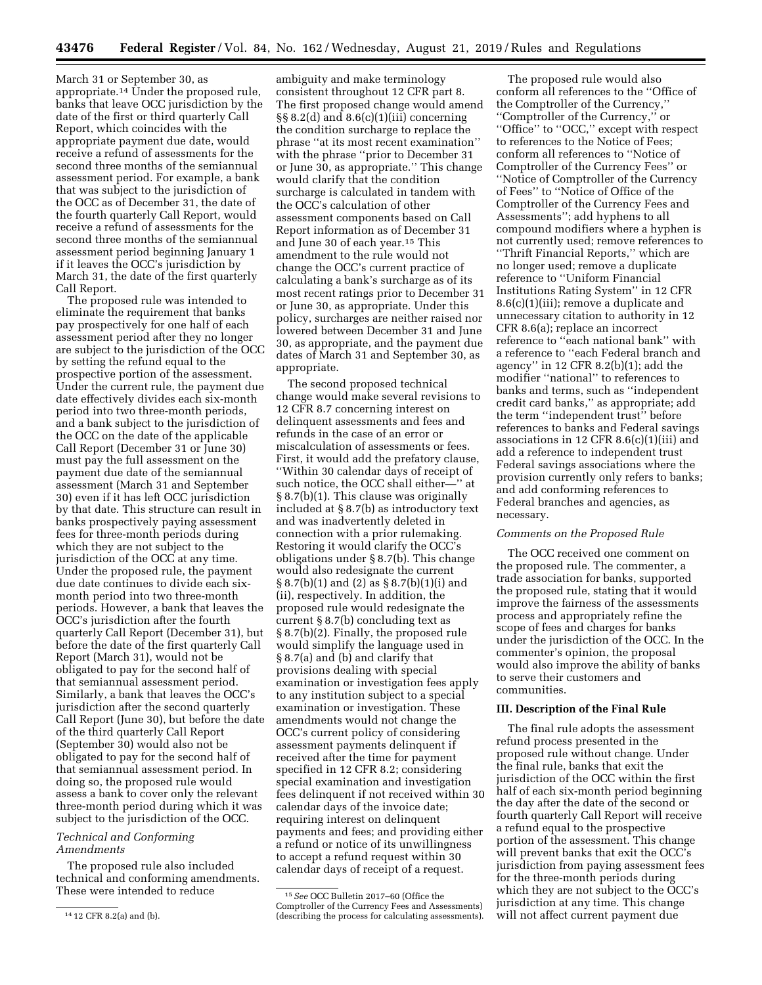March 31 or September 30, as appropriate.14 Under the proposed rule, banks that leave OCC jurisdiction by the date of the first or third quarterly Call Report, which coincides with the appropriate payment due date, would receive a refund of assessments for the second three months of the semiannual assessment period. For example, a bank that was subject to the jurisdiction of the OCC as of December 31, the date of the fourth quarterly Call Report, would receive a refund of assessments for the second three months of the semiannual assessment period beginning January 1 if it leaves the OCC's jurisdiction by March 31, the date of the first quarterly Call Report.

The proposed rule was intended to eliminate the requirement that banks pay prospectively for one half of each assessment period after they no longer are subject to the jurisdiction of the OCC by setting the refund equal to the prospective portion of the assessment. Under the current rule, the payment due date effectively divides each six-month period into two three-month periods, and a bank subject to the jurisdiction of the OCC on the date of the applicable Call Report (December 31 or June 30) must pay the full assessment on the payment due date of the semiannual assessment (March 31 and September 30) even if it has left OCC jurisdiction by that date. This structure can result in banks prospectively paying assessment fees for three-month periods during which they are not subject to the jurisdiction of the OCC at any time. Under the proposed rule, the payment due date continues to divide each sixmonth period into two three-month periods. However, a bank that leaves the OCC's jurisdiction after the fourth quarterly Call Report (December 31), but before the date of the first quarterly Call Report (March 31), would not be obligated to pay for the second half of that semiannual assessment period. Similarly, a bank that leaves the OCC's jurisdiction after the second quarterly Call Report (June 30), but before the date of the third quarterly Call Report (September 30) would also not be obligated to pay for the second half of that semiannual assessment period. In doing so, the proposed rule would assess a bank to cover only the relevant three-month period during which it was subject to the jurisdiction of the OCC.

# *Technical and Conforming Amendments*

The proposed rule also included technical and conforming amendments. These were intended to reduce

ambiguity and make terminology consistent throughout 12 CFR part 8. The first proposed change would amend  $\S$ § 8.2(d) and 8.6(c)(1)(iii) concerning the condition surcharge to replace the phrase ''at its most recent examination'' with the phrase ''prior to December 31 or June 30, as appropriate.'' This change would clarify that the condition surcharge is calculated in tandem with the OCC's calculation of other assessment components based on Call Report information as of December 31 and June 30 of each year.15 This amendment to the rule would not change the OCC's current practice of calculating a bank's surcharge as of its most recent ratings prior to December 31 or June 30, as appropriate. Under this policy, surcharges are neither raised nor lowered between December 31 and June 30, as appropriate, and the payment due dates of March 31 and September 30, as appropriate.

The second proposed technical change would make several revisions to 12 CFR 8.7 concerning interest on delinquent assessments and fees and refunds in the case of an error or miscalculation of assessments or fees. First, it would add the prefatory clause, ''Within 30 calendar days of receipt of such notice, the OCC shall either—'' at § 8.7(b)(1). This clause was originally included at § 8.7(b) as introductory text and was inadvertently deleted in connection with a prior rulemaking. Restoring it would clarify the OCC's obligations under § 8.7(b). This change would also redesignate the current § 8.7(b)(1) and (2) as § 8.7(b)(1)(i) and (ii), respectively. In addition, the proposed rule would redesignate the current § 8.7(b) concluding text as § 8.7(b)(2). Finally, the proposed rule would simplify the language used in § 8.7(a) and (b) and clarify that provisions dealing with special examination or investigation fees apply to any institution subject to a special examination or investigation. These amendments would not change the OCC's current policy of considering assessment payments delinquent if received after the time for payment specified in 12 CFR 8.2; considering special examination and investigation fees delinquent if not received within 30 calendar days of the invoice date; requiring interest on delinquent payments and fees; and providing either a refund or notice of its unwillingness to accept a refund request within 30 calendar days of receipt of a request.

The proposed rule would also conform all references to the ''Office of the Comptroller of the Currency,'' ''Comptroller of the Currency,'' or "Office" to "OCC," except with respect to references to the Notice of Fees; conform all references to ''Notice of Comptroller of the Currency Fees'' or ''Notice of Comptroller of the Currency of Fees'' to ''Notice of Office of the Comptroller of the Currency Fees and Assessments''; add hyphens to all compound modifiers where a hyphen is not currently used; remove references to ''Thrift Financial Reports,'' which are no longer used; remove a duplicate reference to ''Uniform Financial Institutions Rating System'' in 12 CFR 8.6(c)(1)(iii); remove a duplicate and unnecessary citation to authority in 12 CFR 8.6(a); replace an incorrect reference to ''each national bank'' with a reference to ''each Federal branch and agency'' in 12 CFR 8.2(b)(1); add the modifier ''national'' to references to banks and terms, such as ''independent credit card banks,'' as appropriate; add the term ''independent trust'' before references to banks and Federal savings associations in 12 CFR  $8.6(c)(1)(iii)$  and add a reference to independent trust Federal savings associations where the provision currently only refers to banks; and add conforming references to Federal branches and agencies, as necessary.

## *Comments on the Proposed Rule*

The OCC received one comment on the proposed rule. The commenter, a trade association for banks, supported the proposed rule, stating that it would improve the fairness of the assessments process and appropriately refine the scope of fees and charges for banks under the jurisdiction of the OCC. In the commenter's opinion, the proposal would also improve the ability of banks to serve their customers and communities.

## **III. Description of the Final Rule**

The final rule adopts the assessment refund process presented in the proposed rule without change. Under the final rule, banks that exit the jurisdiction of the OCC within the first half of each six-month period beginning the day after the date of the second or fourth quarterly Call Report will receive a refund equal to the prospective portion of the assessment. This change will prevent banks that exit the OCC's jurisdiction from paying assessment fees for the three-month periods during which they are not subject to the OCC's jurisdiction at any time. This change will not affect current payment due

<sup>14</sup> 12 CFR 8.2(a) and (b).

<sup>15</sup>*See* OCC Bulletin 2017–60 (Office the Comptroller of the Currency Fees and Assessments) (describing the process for calculating assessments).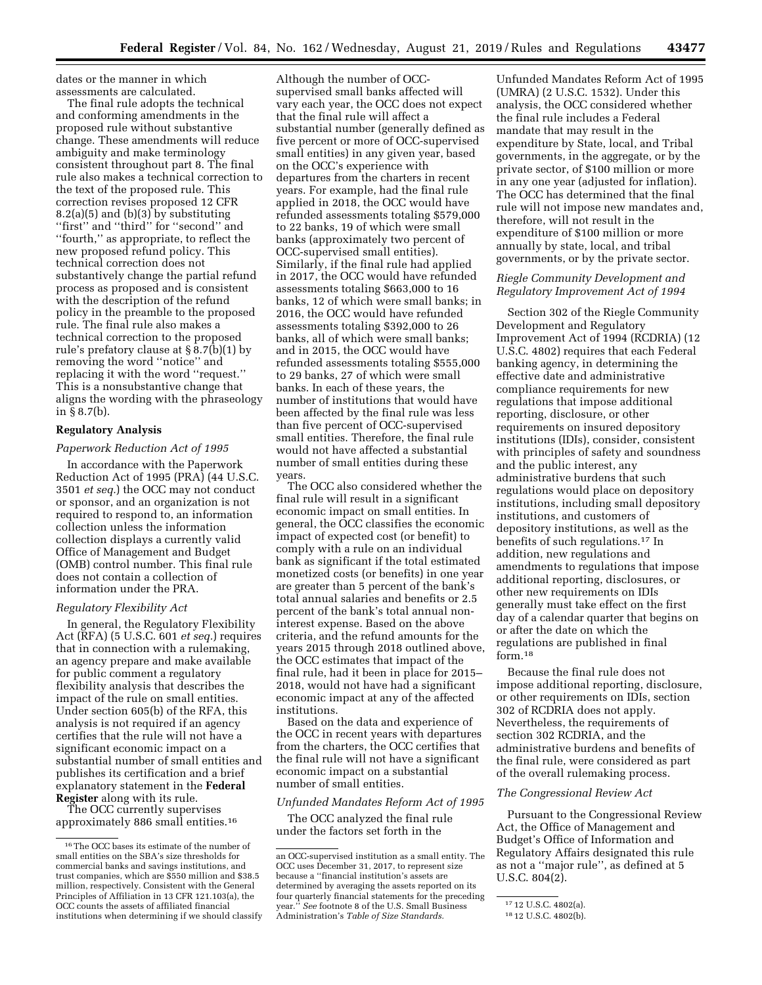dates or the manner in which assessments are calculated.

The final rule adopts the technical and conforming amendments in the proposed rule without substantive change. These amendments will reduce ambiguity and make terminology consistent throughout part 8. The final rule also makes a technical correction to the text of the proposed rule. This correction revises proposed 12 CFR 8.2(a)(5) and  $(b)(3)$  by substituting ''first'' and ''third'' for ''second'' and ''fourth,'' as appropriate, to reflect the new proposed refund policy. This technical correction does not substantively change the partial refund process as proposed and is consistent with the description of the refund policy in the preamble to the proposed rule. The final rule also makes a technical correction to the proposed rule's prefatory clause at § 8.7(b)(1) by removing the word ''notice'' and replacing it with the word ''request.'' This is a nonsubstantive change that aligns the wording with the phraseology in § 8.7(b).

# **Regulatory Analysis**

## *Paperwork Reduction Act of 1995*

In accordance with the Paperwork Reduction Act of 1995 (PRA) (44 U.S.C. 3501 *et seq.*) the OCC may not conduct or sponsor, and an organization is not required to respond to, an information collection unless the information collection displays a currently valid Office of Management and Budget (OMB) control number. This final rule does not contain a collection of information under the PRA.

#### *Regulatory Flexibility Act*

In general, the Regulatory Flexibility Act (RFA) (5 U.S.C. 601 *et seq.*) requires that in connection with a rulemaking, an agency prepare and make available for public comment a regulatory flexibility analysis that describes the impact of the rule on small entities. Under section 605(b) of the RFA, this analysis is not required if an agency certifies that the rule will not have a significant economic impact on a substantial number of small entities and publishes its certification and a brief explanatory statement in the **Federal Register** along with its rule.

The OCC currently supervises approximately 886 small entities.16

Although the number of OCCsupervised small banks affected will vary each year, the OCC does not expect that the final rule will affect a substantial number (generally defined as five percent or more of OCC-supervised small entities) in any given year, based on the OCC's experience with departures from the charters in recent years. For example, had the final rule applied in 2018, the OCC would have refunded assessments totaling \$579,000 to 22 banks, 19 of which were small banks (approximately two percent of OCC-supervised small entities). Similarly, if the final rule had applied in 2017, the OCC would have refunded assessments totaling \$663,000 to 16 banks, 12 of which were small banks; in 2016, the OCC would have refunded assessments totaling \$392,000 to 26 banks, all of which were small banks; and in 2015, the OCC would have refunded assessments totaling \$555,000 to 29 banks, 27 of which were small banks. In each of these years, the number of institutions that would have been affected by the final rule was less than five percent of OCC-supervised small entities. Therefore, the final rule would not have affected a substantial number of small entities during these years.

The OCC also considered whether the final rule will result in a significant economic impact on small entities. In general, the OCC classifies the economic impact of expected cost (or benefit) to comply with a rule on an individual bank as significant if the total estimated monetized costs (or benefits) in one year are greater than 5 percent of the bank's total annual salaries and benefits or 2.5 percent of the bank's total annual noninterest expense. Based on the above criteria, and the refund amounts for the years 2015 through 2018 outlined above, the OCC estimates that impact of the final rule, had it been in place for 2015– 2018, would not have had a significant economic impact at any of the affected institutions.

Based on the data and experience of the OCC in recent years with departures from the charters, the OCC certifies that the final rule will not have a significant economic impact on a substantial number of small entities.

# *Unfunded Mandates Reform Act of 1995*

The OCC analyzed the final rule under the factors set forth in the

Unfunded Mandates Reform Act of 1995 (UMRA) (2 U.S.C. 1532). Under this analysis, the OCC considered whether the final rule includes a Federal mandate that may result in the expenditure by State, local, and Tribal governments, in the aggregate, or by the private sector, of \$100 million or more in any one year (adjusted for inflation). The OCC has determined that the final rule will not impose new mandates and, therefore, will not result in the expenditure of \$100 million or more annually by state, local, and tribal governments, or by the private sector.

# *Riegle Community Development and Regulatory Improvement Act of 1994*

Section 302 of the Riegle Community Development and Regulatory Improvement Act of 1994 (RCDRIA) (12 U.S.C. 4802) requires that each Federal banking agency, in determining the effective date and administrative compliance requirements for new regulations that impose additional reporting, disclosure, or other requirements on insured depository institutions (IDIs), consider, consistent with principles of safety and soundness and the public interest, any administrative burdens that such regulations would place on depository institutions, including small depository institutions, and customers of depository institutions, as well as the benefits of such regulations.17 In addition, new regulations and amendments to regulations that impose additional reporting, disclosures, or other new requirements on IDIs generally must take effect on the first day of a calendar quarter that begins on or after the date on which the regulations are published in final form.18

Because the final rule does not impose additional reporting, disclosure, or other requirements on IDIs, section 302 of RCDRIA does not apply. Nevertheless, the requirements of section 302 RCDRIA, and the administrative burdens and benefits of the final rule, were considered as part of the overall rulemaking process.

## *The Congressional Review Act*

Pursuant to the Congressional Review Act, the Office of Management and Budget's Office of Information and Regulatory Affairs designated this rule as not a ''major rule'', as defined at 5 U.S.C. 804(2).

<sup>16</sup>The OCC bases its estimate of the number of small entities on the SBA's size thresholds for commercial banks and savings institutions, and trust companies, which are \$550 million and \$38.5 million, respectively. Consistent with the General Principles of Affiliation in 13 CFR 121.103(a), the OCC counts the assets of affiliated financial institutions when determining if we should classify

an OCC-supervised institution as a small entity. The OCC uses December 31, 2017, to represent size because a ''financial institution's assets are determined by averaging the assets reported on its four quarterly financial statements for the preceding year.'' *See* footnote 8 of the U.S. Small Business Administration's *Table of Size Standards.* 

<sup>17</sup> 12 U.S.C. 4802(a).

<sup>18</sup> 12 U.S.C. 4802(b).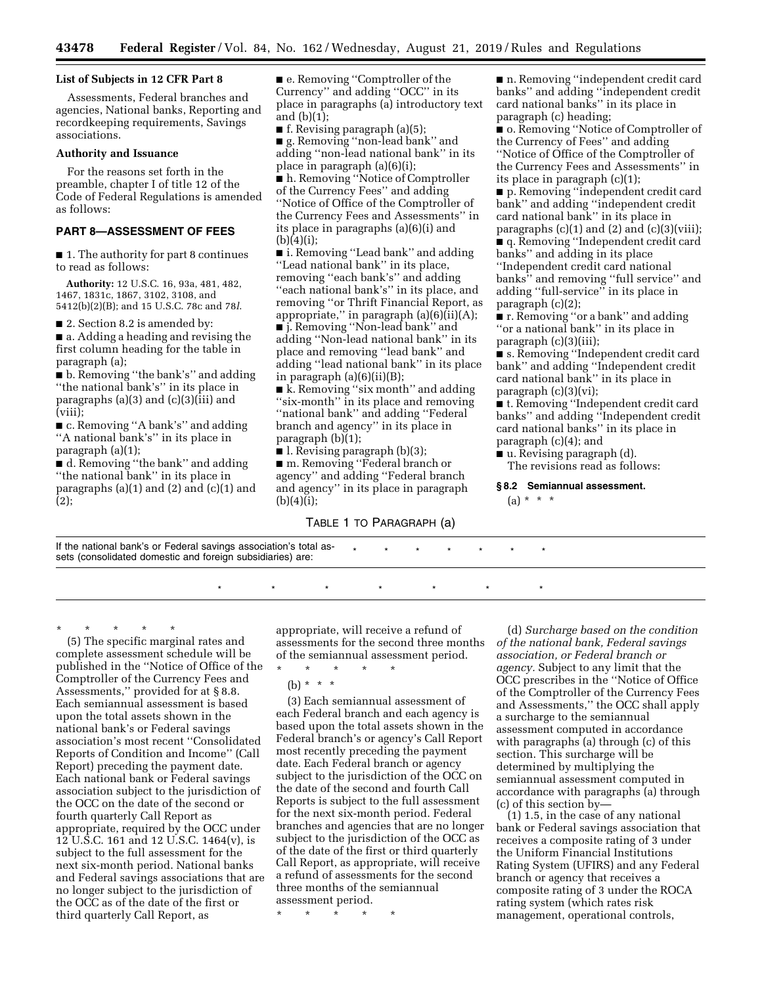## **List of Subjects in 12 CFR Part 8**

Assessments, Federal branches and agencies, National banks, Reporting and recordkeeping requirements, Savings associations.

#### **Authority and Issuance**

For the reasons set forth in the preamble, chapter I of title 12 of the Code of Federal Regulations is amended as follows:

# **PART 8—ASSESSMENT OF FEES**

■ 1. The authority for part 8 continues to read as follows:

**Authority:** 12 U.S.C. 16, 93a, 481, 482, 1467, 1831c, 1867, 3102, 3108, and 5412(b)(2)(B); and 15 U.S.C. 78c and 78*l*.

■ 2. Section 8.2 is amended by:

■ a. Adding a heading and revising the first column heading for the table in paragraph (a);

■ b. Removing ''the bank's'' and adding ''the national bank's'' in its place in paragraphs (a)(3) and  $(c)(3)(iii)$  and (viii);

■ c. Removing "A bank's" and adding "A national bank's" in its place in paragraph (a)(1);

■ d. Removing "the bank" and adding ''the national bank'' in its place in paragraphs (a)(1) and (2) and (c)(1) and (2);

■ e. Removing "Comptroller of the Currency'' and adding ''OCC'' in its place in paragraphs (a) introductory text and (b)(1);

■ f. Revising paragraph (a)(5); ■ g. Removing "non-lead bank" and adding ''non-lead national bank'' in its place in paragraph (a)(6)(i);

■ h. Removing ''Notice of Comptroller of the Currency Fees'' and adding ''Notice of Office of the Comptroller of the Currency Fees and Assessments'' in its place in paragraphs (a)(6)(i) and  $(b)(4)(i);$ 

■ i. Removing "Lead bank" and adding ''Lead national bank'' in its place, removing ''each bank's'' and adding ''each national bank's'' in its place, and removing ''or Thrift Financial Report, as appropriate," in paragraph  $(a)(6)(ii)(A);$ ■ j. Removing ''Non-lead bank'' and adding ''Non-lead national bank'' in its

place and removing ''lead bank'' and adding ''lead national bank'' in its place in paragraph  $(a)(6)(ii)(B);$ 

■ k. Removing ''six month'' and adding "six-month" in its place and removing ''national bank'' and adding ''Federal branch and agency'' in its place in paragraph (b)(1);

■ l. Revising paragraph (b)(3); ■ m. Removing "Federal branch or agency'' and adding ''Federal branch and agency'' in its place in paragraph  $(b)(4)(i);$ 

# TABLE 1 TO PARAGRAPH (a)

■ n. Removing "independent credit card banks'' and adding ''independent credit card national banks'' in its place in paragraph (c) heading;

■ o. Removing "Notice of Comptroller of the Currency of Fees'' and adding ''Notice of Office of the Comptroller of the Currency Fees and Assessments'' in its place in paragraph (c)(1);

■ p. Removing "independent credit card bank'' and adding ''independent credit card national bank'' in its place in paragraphs  $(c)(1)$  and  $(2)$  and  $(c)(3)(viii)$ ;

■ q. Removing ''Independent credit card banks'' and adding in its place ''Independent credit card national banks'' and removing ''full service'' and adding ''full-service'' in its place in paragraph (c)(2);

■ r. Removing ''or a bank'' and adding ''or a national bank'' in its place in paragraph (c)(3)(iii);

■ s. Removing "Independent credit card bank'' and adding ''Independent credit card national bank'' in its place in paragraph (c)(3)(vi);

■ t. Removing ''Independent credit card banks'' and adding ''Independent credit card national banks'' in its place in paragraph (c)(4); and

■ u. Revising paragraph (d). The revisions read as follows:

**§ 8.2 Semiannual assessment.** 

 $(a) * * * *$ 

| If the national bank's or Federal savings association's total as- $\star$ , $\star$ , $\star$ , $\star$ , $\star$ , $\star$ , $\star$ , $\star$ , $\star$ , $\star$ , $\star$ , $\star$ , $\star$ , $\star$ , $\star$ , $\star$ , $\star$ , $\star$ , $\star$ , $\star$ , $\star$ , $\star$ , $\star$ , $\star$ , $\star$ , $\star$ , |  |  |  |  |
|---------------------------------------------------------------------------------------------------------------------------------------------------------------------------------------------------------------------------------------------------------------------------------------------------------------------------------------|--|--|--|--|
| sets (consolidated domestic and foreign subsidiaries) are:                                                                                                                                                                                                                                                                            |  |  |  |  |

\* \* \* \* \*

(5) The specific marginal rates and complete assessment schedule will be published in the ''Notice of Office of the Comptroller of the Currency Fees and Assessments,'' provided for at § 8.8. Each semiannual assessment is based upon the total assets shown in the national bank's or Federal savings association's most recent ''Consolidated Reports of Condition and Income'' (Call Report) preceding the payment date. Each national bank or Federal savings association subject to the jurisdiction of the OCC on the date of the second or fourth quarterly Call Report as appropriate, required by the OCC under 12 U.S.C. 161 and 12 U.S.C. 1464(v), is subject to the full assessment for the next six-month period. National banks and Federal savings associations that are no longer subject to the jurisdiction of the OCC as of the date of the first or third quarterly Call Report, as

appropriate, will receive a refund of assessments for the second three months of the semiannual assessment period. \* \* \* \* \*

\* \* \* \* \* \* \*

# (b) \* \* \*

(3) Each semiannual assessment of each Federal branch and each agency is based upon the total assets shown in the Federal branch's or agency's Call Report most recently preceding the payment date. Each Federal branch or agency subject to the jurisdiction of the OCC on the date of the second and fourth Call Reports is subject to the full assessment for the next six-month period. Federal branches and agencies that are no longer subject to the jurisdiction of the OCC as of the date of the first or third quarterly Call Report, as appropriate, will receive a refund of assessments for the second three months of the semiannual assessment period.

\* \* \* \* \*

(d) *Surcharge based on the condition of the national bank, Federal savings association, or Federal branch or agency.* Subject to any limit that the OCC prescribes in the ''Notice of Office of the Comptroller of the Currency Fees and Assessments,'' the OCC shall apply a surcharge to the semiannual assessment computed in accordance with paragraphs (a) through (c) of this section. This surcharge will be determined by multiplying the semiannual assessment computed in accordance with paragraphs (a) through (c) of this section by—

(1) 1.5, in the case of any national bank or Federal savings association that receives a composite rating of 3 under the Uniform Financial Institutions Rating System (UFIRS) and any Federal branch or agency that receives a composite rating of 3 under the ROCA rating system (which rates risk management, operational controls,